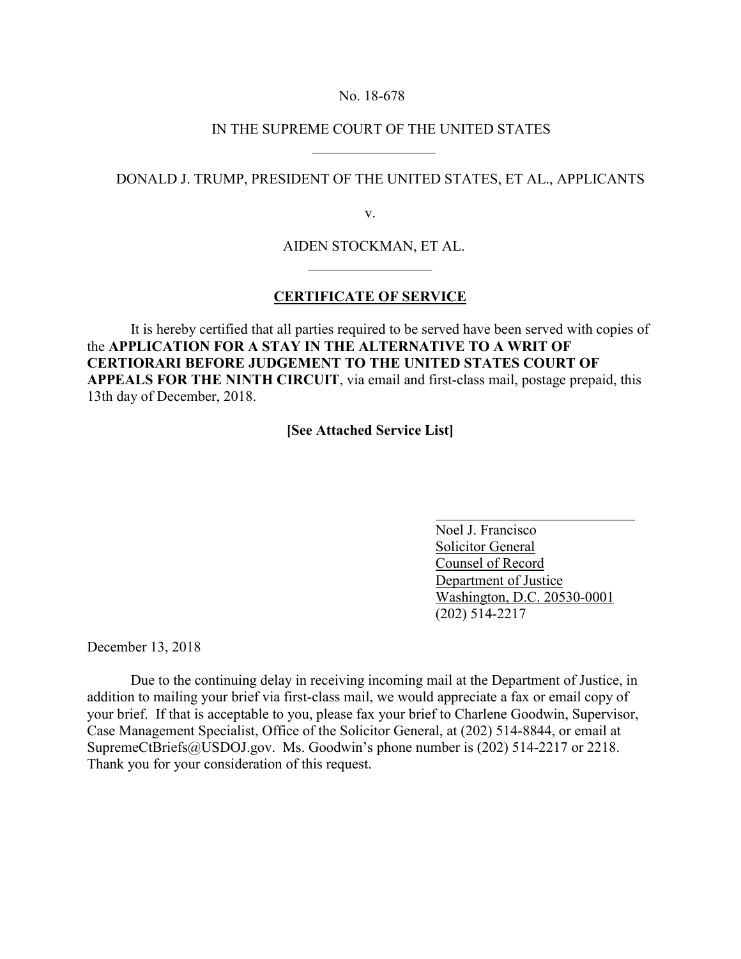## No. 18-678

 $\frac{1}{2}$  ,  $\frac{1}{2}$  ,  $\frac{1}{2}$  ,  $\frac{1}{2}$  ,  $\frac{1}{2}$  ,  $\frac{1}{2}$  ,  $\frac{1}{2}$  ,  $\frac{1}{2}$  ,  $\frac{1}{2}$ 

## IN THE SUPREME COURT OF THE UNITED STATES

## DONALD J. TRUMP, PRESIDENT OF THE UNITED STATES, ET AL., APPLICANTS

v.

AIDEN STOCKMAN, ET AL.

## **CERTIFICATE OF SERVICE**

 $\mathcal{L}_\mathcal{L}$  , which is a set of the set of the set of the set of the set of the set of the set of the set of the set of the set of the set of the set of the set of the set of the set of the set of the set of the set of

It is hereby certified that all parties required to be served have been served with copies of the **APPLICATION FOR A STAY IN THE ALTERNATIVE TO A WRIT OF CERTIORARI BEFORE JUDGEMENT TO THE UNITED STATES COURT OF APPEALS FOR THE NINTH CIRCUIT**, via email and first-class mail, postage prepaid, this 13th day of December, 2018.

**[See Attached Service List]**

 Noel J. Francisco Solicitor General Counsel of Record Department of Justice Washington, D.C. 20530-0001 (202) 514-2217

December 13, 2018

Due to the continuing delay in receiving incoming mail at the Department of Justice, in addition to mailing your brief via first-class mail, we would appreciate a fax or email copy of your brief. If that is acceptable to you, please fax your brief to Charlene Goodwin, Supervisor, Case Management Specialist, Office of the Solicitor General, at (202) 514-8844, or email at SupremeCtBriefs@USDOJ.gov. Ms. Goodwin's phone number is (202) 514-2217 or 2218. Thank you for your consideration of this request.